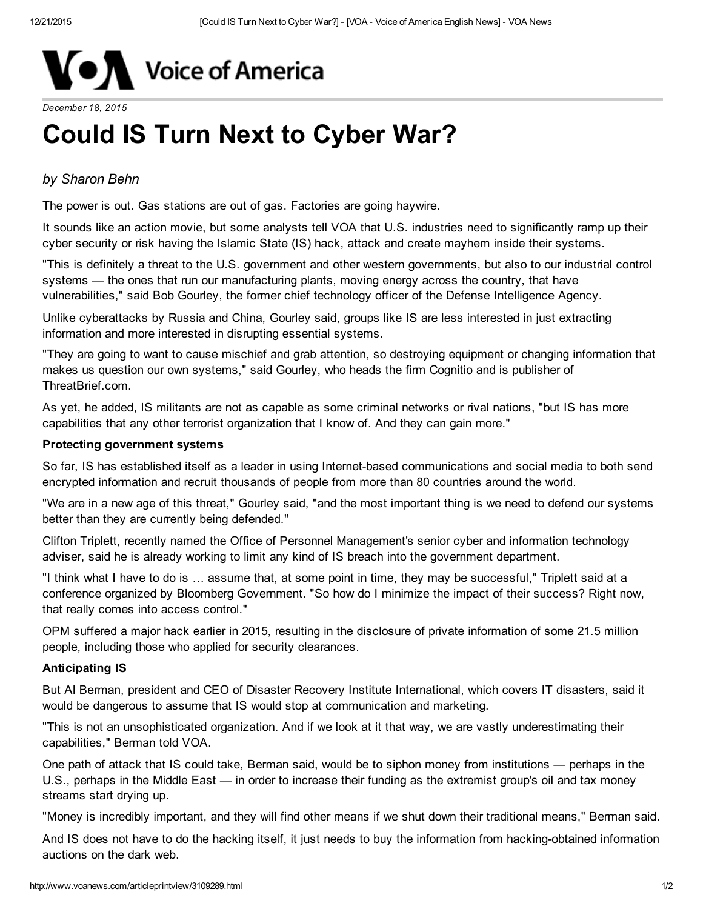# **VO** Voice of America

*December 18, 2015*

## Could IS Turn Next to Cyber War?

### *by Sharon Behn*

The power is out. Gas stations are out of gas. Factories are going haywire.

It sounds like an action movie, but some analysts tell VOA that U.S. industries need to significantly ramp up their cyber security or risk having the Islamic State (IS) hack, attack and create mayhem inside their systems.

"This is definitely a threat to the U.S. government and other western governments, but also to our industrial control systems — the ones that run our manufacturing plants, moving energy across the country, that have vulnerabilities," said Bob Gourley, the former chief technology officer of the Defense Intelligence Agency.

Unlike cyberattacks by Russia and China, Gourley said, groups like IS are less interested in just extracting information and more interested in disrupting essential systems.

"They are going to want to cause mischief and grab attention, so destroying equipment or changing information that makes us question our own systems," said Gourley, who heads the firm Cognitio and is publisher of ThreatBrief.com.

As yet, he added, IS militants are not as capable as some criminal networks or rival nations, "but IS has more capabilities that any other terrorist organization that I know of. And they can gain more."

#### Protecting government systems

So far, IS has established itself as a leader in using Internet-based communications and social media to both send encrypted information and recruit thousands of people from more than 80 countries around the world.

"We are in a new age of this threat," Gourley said, "and the most important thing is we need to defend our systems better than they are currently being defended."

Clifton Triplett, recently named the Office of Personnel Management's senior cyber and information technology adviser, said he is already working to limit any kind of IS breach into the government department.

"I think what I have to do is … assume that, at some point in time, they may be successful," Triplett said at a conference organized by Bloomberg Government. "So how do I minimize the impact of their success? Right now, that really comes into access control."

OPM suffered a major hack earlier in 2015, resulting in the disclosure of private information of some 21.5 million people, including those who applied for security clearances.

#### Anticipating IS

But Al Berman, president and CEO of Disaster Recovery Institute International, which covers IT disasters, said it would be dangerous to assume that IS would stop at communication and marketing.

"This is not an unsophisticated organization. And if we look at it that way, we are vastly underestimating their capabilities," Berman told VOA.

One path of attack that IS could take, Berman said, would be to siphon money from institutions — perhaps in the U.S., perhaps in the Middle East — in order to increase their funding as the extremist group's oil and tax money streams start drying up.

"Money is incredibly important, and they will find other means if we shut down their traditional means," Berman said.

And IS does not have to do the hacking itself, it just needs to buy the information from hacking-obtained information auctions on the dark web.